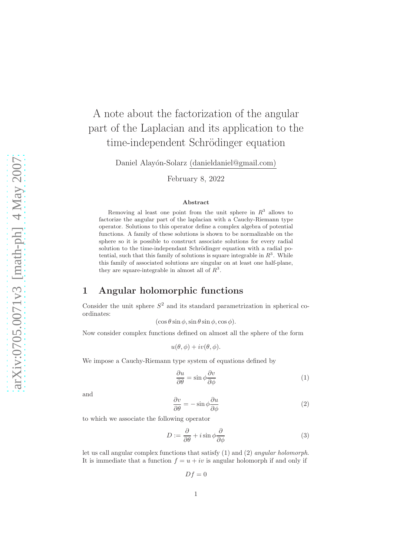# $arXiv:0705.0071v3$  [math-ph]  $4$  May 2007 [arXiv:0705.0071v3 \[math-ph\] 4 May 2007](http://arxiv.org/abs/0705.0071v3)

# A note about the factorization of the angular part of the Laplacian and its application to the time-independent Schrödinger equation

Daniel Alay´on-Solarz (danieldaniel@gmail.com)

February 8, 2022

### Abstract

Removing al least one point from the unit sphere in  $R<sup>3</sup>$  allows to factorize the angular part of the laplacian with a Cauchy-Riemann type operator. Solutions to this operator define a complex algebra of potential functions. A family of these solutions is shown to be normalizable on the sphere so it is possible to construct associate solutions for every radial solution to the time-independant Schrödinger equation with a radial potential, such that this family of solutions is square integrable in  $\mathbb{R}^3$ . While this family of associated solutions are singular on at least one half-plane, they are square-integrable in almost all of  $R^3$ .

## 1 Angular holomorphic functions

Consider the unit sphere  $S^2$  and its standard parametrization in spherical coordinates:

 $(\cos \theta \sin \phi, \sin \theta \sin \phi, \cos \phi).$ 

Now consider complex functions defined on almost all the sphere of the form

 $u(\theta, \phi) + iv(\theta, \phi).$ 

We impose a Cauchy-Riemann type system of equations defined by

$$
\frac{\partial u}{\partial \theta} = \sin \phi \frac{\partial v}{\partial \phi} \tag{1}
$$

and

$$
\frac{\partial v}{\partial \theta} = -\sin \phi \frac{\partial u}{\partial \phi} \tag{2}
$$

to which we associate the following operator

$$
D := \frac{\partial}{\partial \theta} + i \sin \phi \frac{\partial}{\partial \phi} \tag{3}
$$

let us call angular complex functions that satisfy (1) and (2) angular holomorph. It is immediate that a function  $f = u + iv$  is angular holomorph if and only if

 $Df = 0$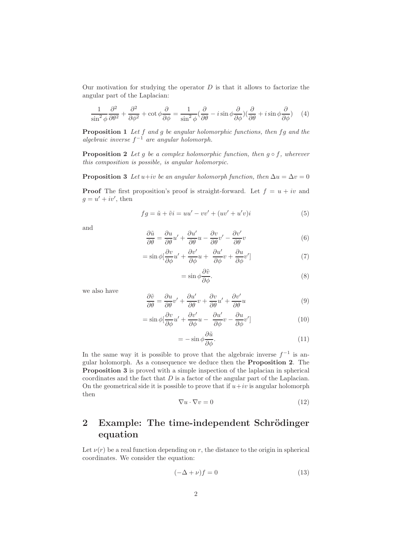Our motivation for studying the operator  $D$  is that it allows to factorize the angular part of the Laplacian:

$$
\frac{1}{\sin^2 \phi} \frac{\partial^2}{\partial \theta^2} + \frac{\partial^2}{\partial \phi^2} + \cot \phi \frac{\partial}{\partial \phi} = \frac{1}{\sin^2 \phi} (\frac{\partial}{\partial \theta} - i \sin \phi \frac{\partial}{\partial \phi}) (\frac{\partial}{\partial \theta} + i \sin \phi \frac{\partial}{\partial \phi}) \tag{4}
$$

**Proposition 1** Let  $f$  and  $g$  be angular holomorphic functions, then  $fg$  and the algebraic inverse  $f^{-1}$  are angular holomorph.

**Proposition 2** Let g be a complex holomorphic function, then  $g \circ f$ , wherever this composition is possible, is angular holomorpic.

**Proposition 3** Let  $u+iv$  be an angular holomorph function, then  $\Delta u = \Delta v = 0$ **Proof** The first proposition's proof is straight-forward. Let  $f = u + iv$  and  $g = u' + iv'$ , then

$$
fg = \tilde{u} + \tilde{v}i = uu' - vv' + (uv' + u'v)i
$$
\n<sup>(5)</sup>

and

$$
\frac{\partial \tilde{u}}{\partial \theta} = \frac{\partial u}{\partial \theta} u' + \frac{\partial u'}{\partial \theta} u - \frac{\partial v}{\partial \theta} v' - \frac{\partial v'}{\partial \theta} v \tag{6}
$$

$$
= \sin \phi \left[\frac{\partial v}{\partial \phi} u' + \frac{\partial v'}{\partial \phi} u + \frac{\partial u'}{\partial \phi} v + \frac{\partial u}{\partial \phi} v'\right]
$$
(7)

$$
= \sin \phi \frac{\partial \tilde{v}}{\partial \phi}.
$$
 (8)

we also have

$$
\frac{\partial \tilde{v}}{\partial \theta} = \frac{\partial u}{\partial \theta} v' + \frac{\partial u'}{\partial \theta} v + \frac{\partial v}{\partial \theta} u' + \frac{\partial v'}{\partial \theta} u \tag{9}
$$

$$
= \sin \phi \left[\frac{\partial v}{\partial \phi} u' + \frac{\partial v'}{\partial \phi} u - \frac{\partial u'}{\partial \phi} v - \frac{\partial u}{\partial \phi} v'\right]
$$
(10)

$$
= -\sin\phi \frac{\partial \tilde{u}}{\partial \phi}.
$$
\n(11)

In the same way it is possible to prove that the algebraic inverse  $f^{-1}$  is angular holomorph. As a consequence we deduce then the Proposition 2. The Proposition 3 is proved with a simple inspection of the laplacian in spherical coordinates and the fact that  $D$  is a factor of the angular part of the Laplacian. On the geometrical side it is possible to prove that if  $u+iv$  is angular holomorph then

$$
\nabla u \cdot \nabla v = 0 \tag{12}
$$

# 2 Example: The time-independent Schrödinger equation

Let  $\nu(r)$  be a real function depending on r, the distance to the origin in spherical coordinates. We consider the equation:

$$
(-\Delta + \nu)f = 0 \tag{13}
$$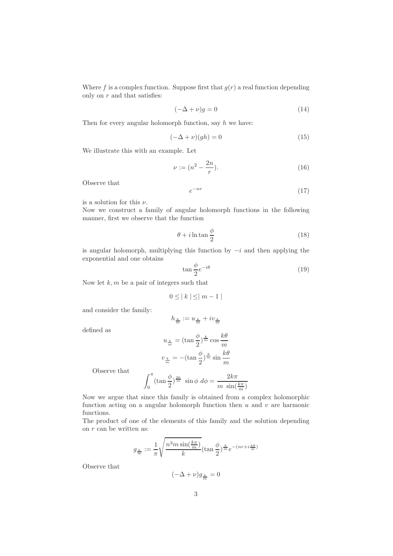Where f is a complex function. Suppose first that  $g(r)$  a real function depending only on  $r$  and that satisfies:

$$
(-\Delta + \nu)g = 0 \tag{14}
$$

Then for every angular holomorph function, say  $h$  we have:

$$
(-\Delta + \nu)(gh) = 0 \tag{15}
$$

We illustrate this with an example. Let

$$
\nu := (n^2 - \frac{2n}{r}).\tag{16}
$$

Observe that

$$
e^{-nr} \tag{17}
$$

is a solution for this  $\nu$ .

Now we construct a family of angular holomorph functions in the following manner, first we observe that the function

$$
\theta + i \ln \tan \frac{\phi}{2} \tag{18}
$$

is angular holomorph, multiplying this function by  $-i$  and then applying the exponential and one obtains

$$
\tan\frac{\phi}{2}e^{-i\theta} \tag{19}
$$

Now let  $k, m$  be a pair of integers such that

$$
0 \leq |k| \leq |m-1|
$$

and consider the family:

$$
h_{\frac{k}{m}}:=u_{\frac{k}{m}}+iv_{\frac{k}{m}}
$$

defined as

$$
u_{\frac{k}{m}} = (\tan \frac{\phi}{2})^{\frac{k}{m}} \cos \frac{k\theta}{m}
$$

$$
v_{\frac{k}{m}} = -(\tan \frac{\phi}{2})^{\frac{k}{m}} \sin \frac{k\theta}{m}
$$

Observe that

$$
\int_0^\pi (\tan\frac{\phi}{2})^{\frac{2k}{m}} \sin\phi \ d\phi = \frac{2k\pi}{m \sin(\frac{k\pi}{m})}
$$

Now we argue that since this family is obtained from a complex holomorphic function acting on a angular holomorph function then  $u$  and  $v$  are harmonic functions.

The product of one of the elements of this family and the solution depending on  $r$  can be written as:

$$
g_{\frac{k}{m}}:=\frac{1}{\pi}\sqrt{\frac{n^3m\sin(\frac{k\pi}{m})}{k}}(\tan\frac{\phi}{2})^{\frac{k}{m}}e^{-(nr+i\frac{k\theta}{m})}
$$

Observe that

$$
(-\Delta + \nu)g_{\frac{k}{m}} = 0
$$